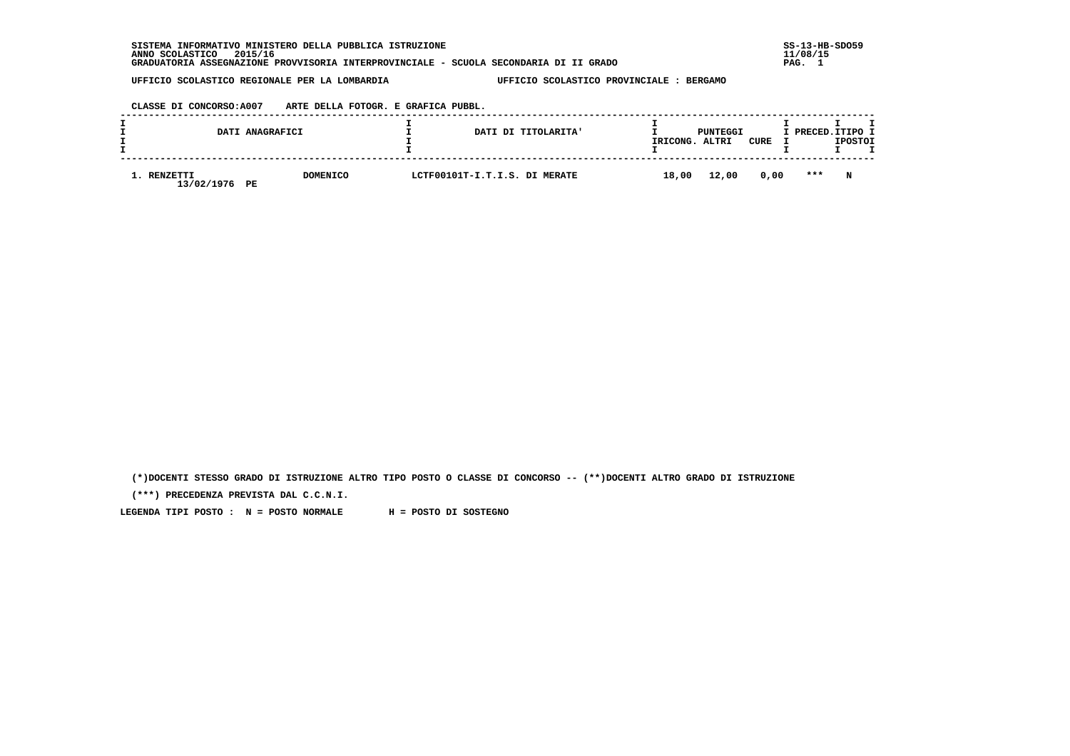**SISTEMA INFORMATIVO MINISTERO DELLA PUBBLICA ISTRUZIONE SS-13-HB-SDO59 ANNO SCOLASTICO 2015/16 11/08/15 GRADUATORIA ASSEGNAZIONE PROVVISORIA INTERPROVINCIALE - SCUOLA SECONDARIA DI II GRADO PAG. 1**

 **UFFICIO SCOLASTICO REGIONALE PER LA LOMBARDIA UFFICIO SCOLASTICO PROVINCIALE : BERGAMO**

 **CLASSE DI CONCORSO:A007 ARTE DELLA FOTOGR. E GRAFICA PUBBL.**

|                          | DATI ANAGRAFICI       | DATI DI TITOLARITA'           | IRICONG. | PUNTEGGI<br>ALTRI | CURE | I PRECED. ITIPO I | <b>IPOSTOI</b> |  |
|--------------------------|-----------------------|-------------------------------|----------|-------------------|------|-------------------|----------------|--|
| . RENZETTI<br>13/02/1976 | <b>DOMENICO</b><br>PE | LCTF00101T-I.T.I.S. DI MERATE | 18,00    | 12,00             | 0,00 | ***               | N              |  |

 **(\*)DOCENTI STESSO GRADO DI ISTRUZIONE ALTRO TIPO POSTO O CLASSE DI CONCORSO -- (\*\*)DOCENTI ALTRO GRADO DI ISTRUZIONE**

 **(\*\*\*) PRECEDENZA PREVISTA DAL C.C.N.I.**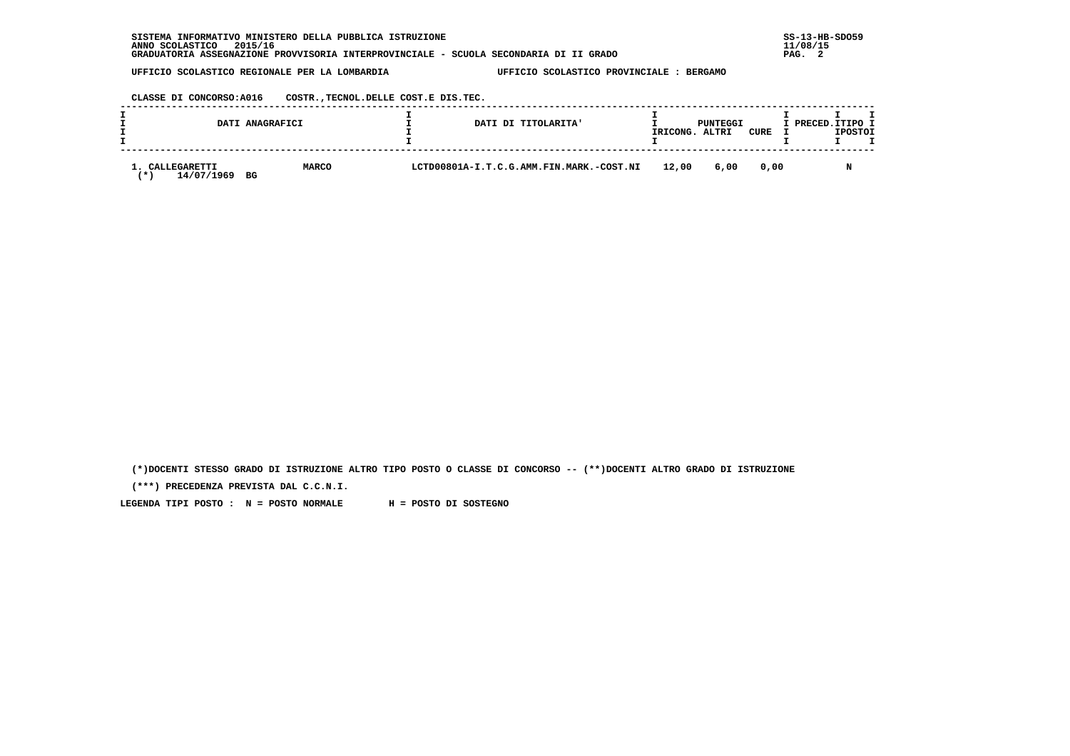| INFORMATIVO MINISTERO DELLA PUBBLICA ISTRUZIONE<br><b>SISTEMA</b>                     | $SS-13-HE$ |
|---------------------------------------------------------------------------------------|------------|
| 2015/16<br>ANNO SCOLASTICO                                                            | 11/08/15   |
| GRADUATORIA ASSEGNAZIONE PROVVISORIA INTERPROVINCIALE - SCUOLA SECONDARIA DI II GRADO | PAG.       |

 **CLASSE DI CONCORSO:A016 COSTR.,TECNOL.DELLE COST.E DIS.TEC.**

|                                  | DATI ANAGRAFICI | DATI DI TITOLARITA'                      | IRICONG. | PUNTEGGI<br>ALTRI | CURE | I PRECED. ITIPO I | <b>IPOSTOI</b> |  |
|----------------------------------|-----------------|------------------------------------------|----------|-------------------|------|-------------------|----------------|--|
| CALLEGARETTI<br>14/07/1969<br>BG | <b>MARCO</b>    | LCTD00801A-I.T.C.G.AMM.FIN.MARK.-COST.NI | 12,00    | 6,00              | 0.00 |                   |                |  |

 **(\*)DOCENTI STESSO GRADO DI ISTRUZIONE ALTRO TIPO POSTO O CLASSE DI CONCORSO -- (\*\*)DOCENTI ALTRO GRADO DI ISTRUZIONE**

 **(\*\*\*) PRECEDENZA PREVISTA DAL C.C.N.I.**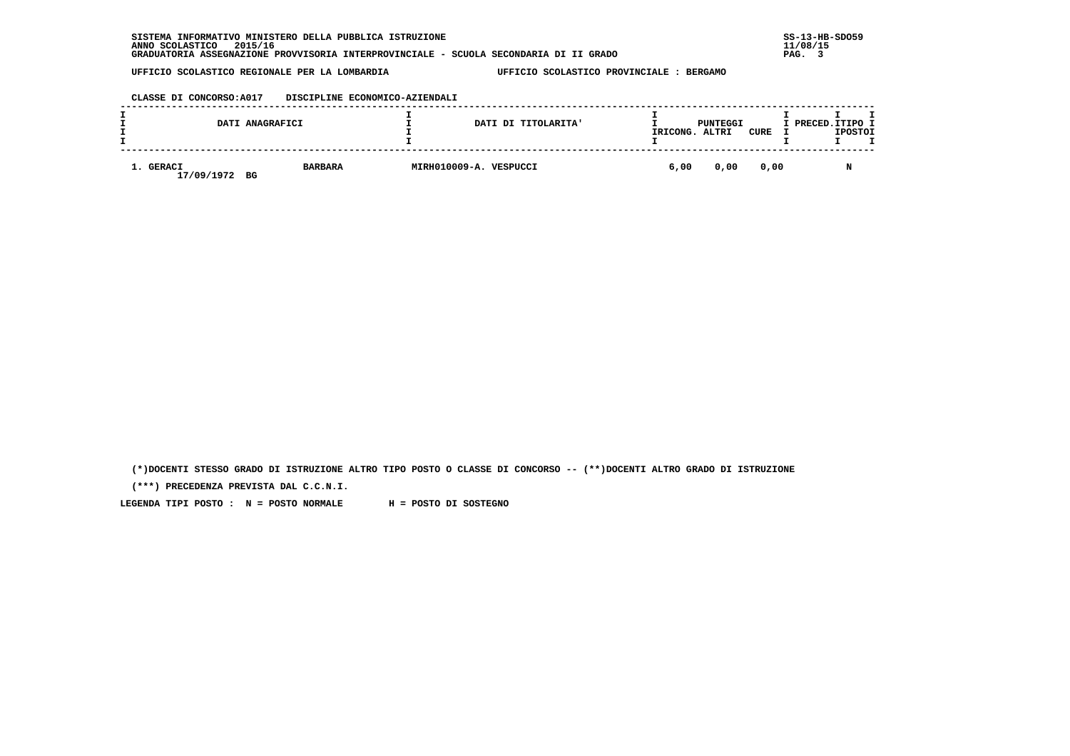| . INFORMATIVO MINISTERO DELLA PUBBLICA ISTRUZIONE<br>SISTEMA                          | $SS-13-HE$ |
|---------------------------------------------------------------------------------------|------------|
| 2015/16<br>ANNO SCOLASTICO                                                            | 11/08/15   |
| GRADUATORIA ASSEGNAZIONE PROVVISORIA INTERPROVINCIALE - SCUOLA SECONDARIA DI II GRADO | PAG.       |

## **CLASSE DI CONCORSO:A017 DISCIPLINE ECONOMICO-AZIENDALI**

|                               | DATI ANAGRAFICI | DATI DI TITOLARITA'    | IRICONG. | PUNTEGGI<br>ALTRI | CURE | I PRECED.ITIPO I<br><b>IPOSTOI</b> |  |
|-------------------------------|-----------------|------------------------|----------|-------------------|------|------------------------------------|--|
| 1. GERACI<br>17/09/1972<br>BG | <b>BARBARA</b>  | MIRH010009-A. VESPUCCI | 6,00     | 0,00              | 0.00 |                                    |  |

 **(\*)DOCENTI STESSO GRADO DI ISTRUZIONE ALTRO TIPO POSTO O CLASSE DI CONCORSO -- (\*\*)DOCENTI ALTRO GRADO DI ISTRUZIONE**

 **(\*\*\*) PRECEDENZA PREVISTA DAL C.C.N.I.**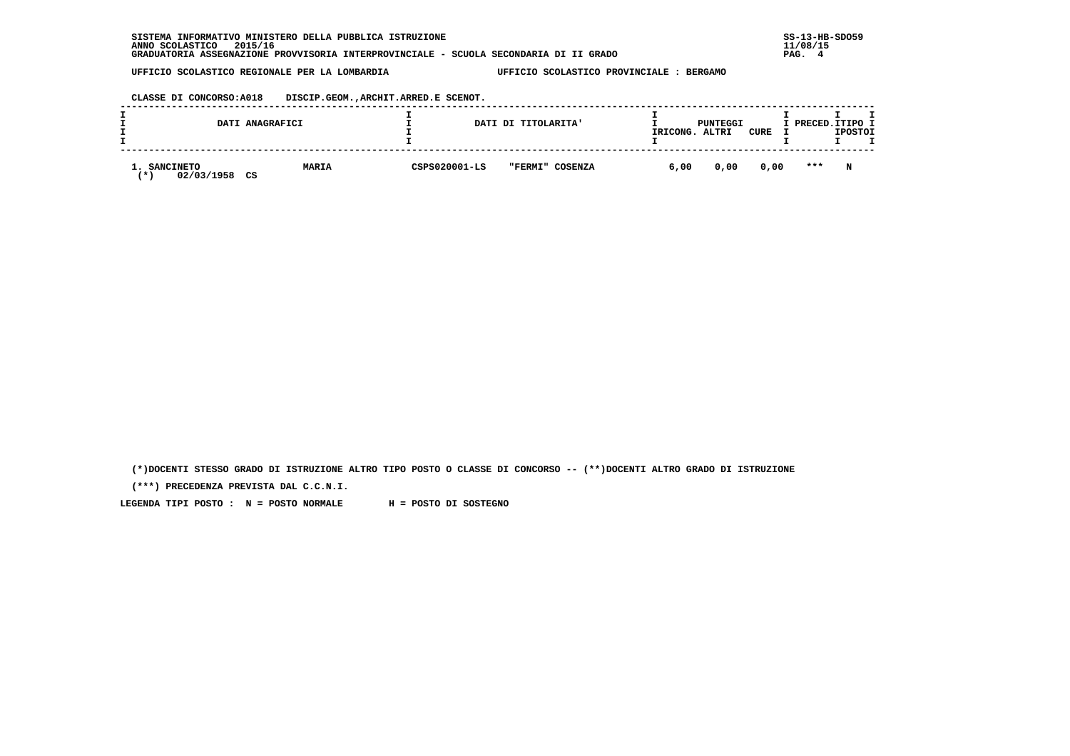| INFORMATIVO MINISTERO DELLA PUBBLICA ISTRUZIONE<br><b>SISTEMA</b>                     | $SS-13-HE$ |
|---------------------------------------------------------------------------------------|------------|
| 2015/16<br>ANNO SCOLASTICO                                                            | 11/08/15   |
| GRADUATORIA ASSEGNAZIONE PROVVISORIA INTERPROVINCIALE - SCUOLA SECONDARIA DI II GRADO | PAG.       |

 **CLASSE DI CONCORSO:A018 DISCIP.GEOM.,ARCHIT.ARRED.E SCENOT.**

| DATI ANAGRAFICI                                 |              |               | DATI DI TITOLARITA' | IRICONG. | PUNTEGGI<br>ALTRI | CURE | I PRECED.ITIPO I | <b>IPOSTOI</b> |  |
|-------------------------------------------------|--------------|---------------|---------------------|----------|-------------------|------|------------------|----------------|--|
| <b>SANCINETO</b><br>02/03/1958<br>CS<br>$\star$ | <b>MARIA</b> | CSPS020001-LS | "FERMI" COSENZA     | 6,00     | 0,00              | 0,00 | $* * *$          | N              |  |

 **(\*)DOCENTI STESSO GRADO DI ISTRUZIONE ALTRO TIPO POSTO O CLASSE DI CONCORSO -- (\*\*)DOCENTI ALTRO GRADO DI ISTRUZIONE**

 **(\*\*\*) PRECEDENZA PREVISTA DAL C.C.N.I.**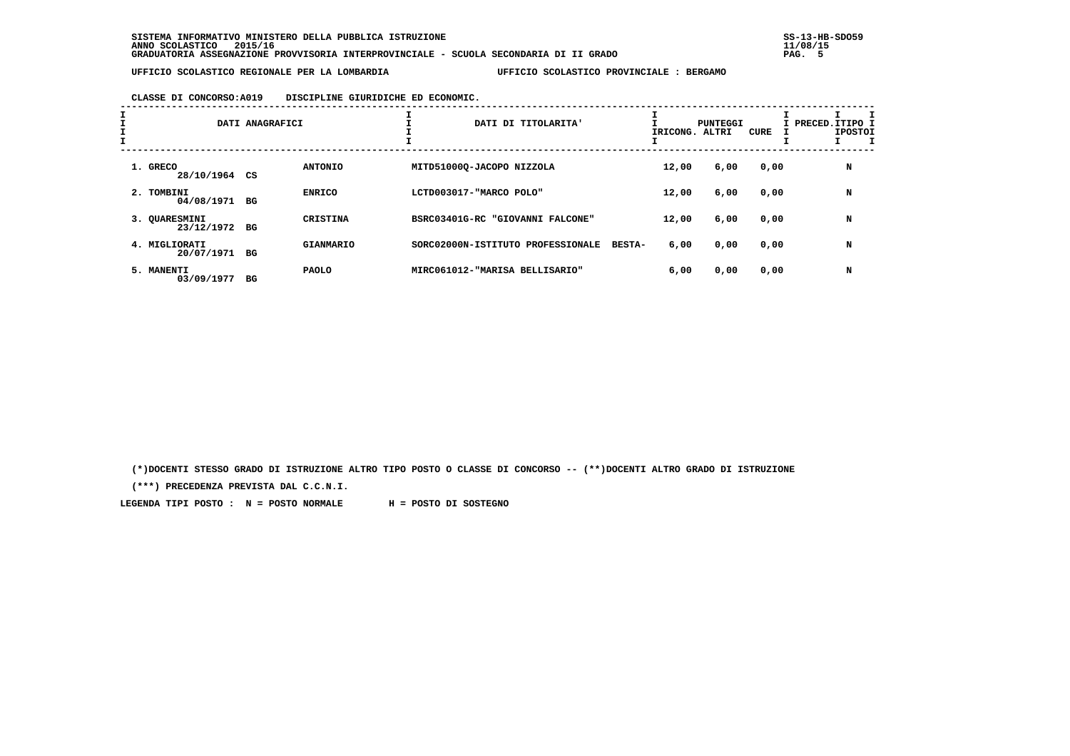# **CLASSE DI CONCORSO:A019 DISCIPLINE GIURIDICHE ED ECONOMIC.**

| I<br>$\mathbf{I}$ |                                | DATI ANAGRAFICI |                  | ÷.<br>DATI DI TITOLARITA'         |               | IRICONG. ALTRI | PUNTEGGI | CURE | I PRECED.ITIPO 1<br><b>IPOSTOI</b> |
|-------------------|--------------------------------|-----------------|------------------|-----------------------------------|---------------|----------------|----------|------|------------------------------------|
|                   | 1. GRECO<br>28/10/1964 CS      |                 | <b>ANTONIO</b>   | MITD51000Q-JACOPO NIZZOLA         |               | 12,00          | 6,00     | 0,00 | N                                  |
|                   | 2. TOMBINI<br>04/08/1971 BG    |                 | <b>ENRICO</b>    | LCTD003017-"MARCO POLO"           |               | 12,00          | 6,00     | 0,00 | N                                  |
|                   | 3. OUARESMINI<br>23/12/1972 BG |                 | <b>CRISTINA</b>  | BSRC03401G-RC "GIOVANNI FALCONE"  |               | 12,00          | 6,00     | 0,00 | N                                  |
|                   | 4. MIGLIORATI<br>20/07/1971    | BG              | <b>GIANMARIO</b> | SORC02000N-ISTITUTO PROFESSIONALE | <b>BESTA-</b> | 6,00           | 0,00     | 0,00 | N                                  |
|                   | 5. MANENTI<br>03/09/1977       | вG              | <b>PAOLO</b>     | MIRC061012-"MARISA BELLISARIO"    |               | 6,00           | 0,00     | 0,00 | N                                  |

 **(\*)DOCENTI STESSO GRADO DI ISTRUZIONE ALTRO TIPO POSTO O CLASSE DI CONCORSO -- (\*\*)DOCENTI ALTRO GRADO DI ISTRUZIONE**

 **(\*\*\*) PRECEDENZA PREVISTA DAL C.C.N.I.**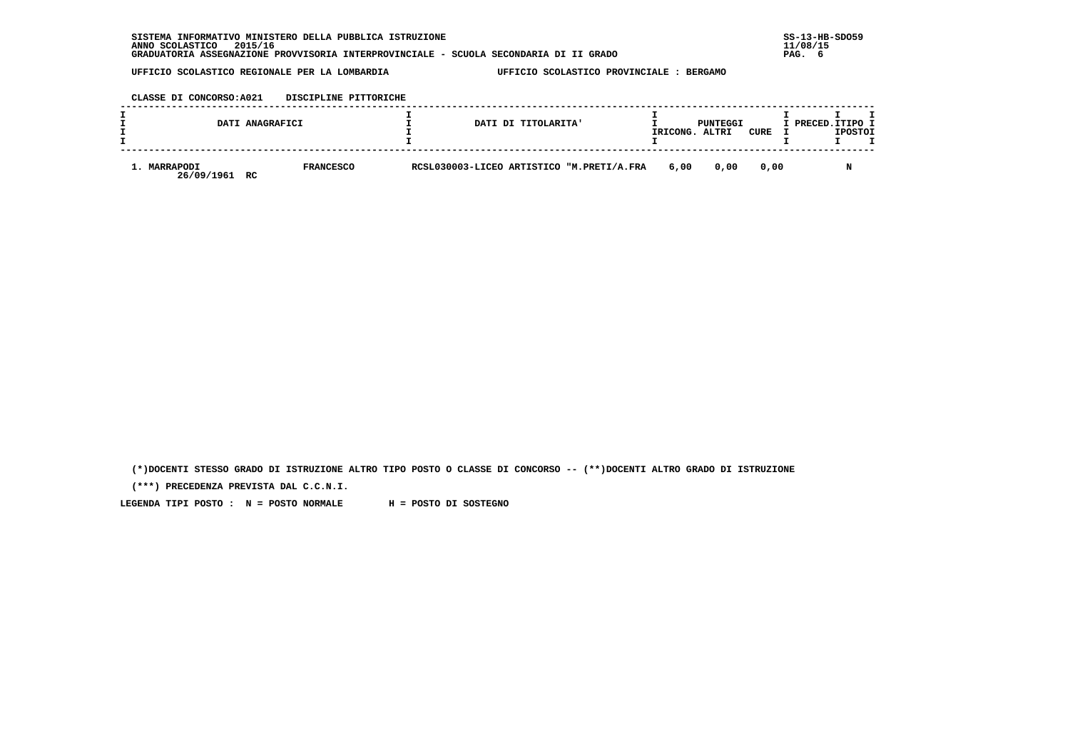| INFORMATIVO MINISTERO DELLA PUBBLICA ISTRUZIONE<br><b>SISTEMA</b>                     | $SS-13-HE$ |
|---------------------------------------------------------------------------------------|------------|
| 2015/16<br>ANNO SCOLASTICO                                                            | 11/08/15   |
| GRADUATORIA ASSEGNAZIONE PROVVISORIA INTERPROVINCIALE - SCUOLA SECONDARIA DI II GRADO | PAG.       |

 **CLASSE DI CONCORSO:A021 DISCIPLINE PITTORICHE**

|                                  | DATI ANAGRAFICI  | DATI DI TITOLARITA'                       | IRICONG. | PUNTEGGI<br>ALTRI | CURE | I PRECED.ITIPO 1 | <b>IPOSTOI</b> |  |
|----------------------------------|------------------|-------------------------------------------|----------|-------------------|------|------------------|----------------|--|
| 1. MARRAPODI<br>26/09/1961<br>RC | <b>FRANCESCO</b> | RCSL030003-LICEO ARTISTICO "M.PRETI/A.FRA | 6,00     | 0,00              | 0.00 |                  |                |  |

 **(\*)DOCENTI STESSO GRADO DI ISTRUZIONE ALTRO TIPO POSTO O CLASSE DI CONCORSO -- (\*\*)DOCENTI ALTRO GRADO DI ISTRUZIONE**

 **(\*\*\*) PRECEDENZA PREVISTA DAL C.C.N.I.**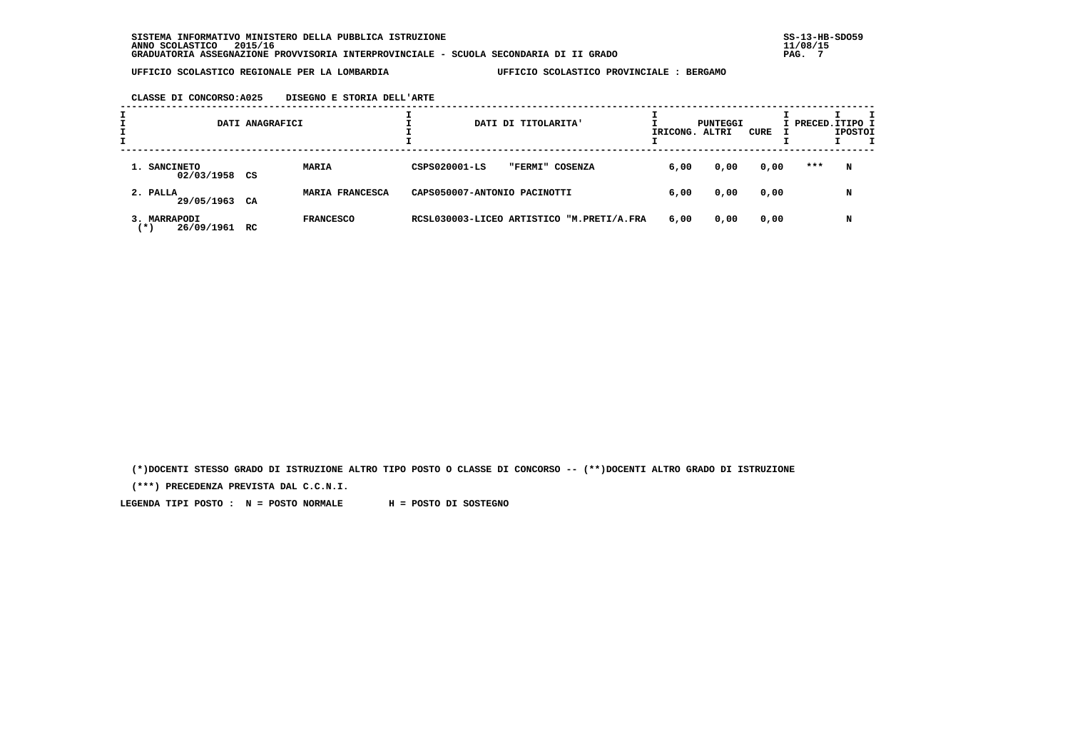## **CLASSE DI CONCORSO:A025 DISEGNO E STORIA DELL'ARTE**

|                                     | DATI ANAGRAFICI |                  |                              | DATI DI TITOLARITA' |                                           | IRICONG. ALTRI | PUNTEGGI | CURE | I PRECED. ITIPO I | <b>IPOSTOI</b> |  |
|-------------------------------------|-----------------|------------------|------------------------------|---------------------|-------------------------------------------|----------------|----------|------|-------------------|----------------|--|
| 1. SANCINETO<br>02/03/1958 CS       |                 | <b>MARIA</b>     | CSPS020001-LS                | "FERMI" COSENZA     |                                           | 6,00           | 0,00     | 0,00 | ***               | N              |  |
| 2. PALLA<br>29/05/1963 CA           |                 | MARIA FRANCESCA  | CAPS050007-ANTONIO PACINOTTI |                     |                                           | 6,00           | 0,00     | 0,00 |                   | N              |  |
| 3. MARRAPODI<br>26/09/1961<br>( * ) | RC              | <b>FRANCESCO</b> |                              |                     | RCSL030003-LICEO ARTISTICO "M.PRETI/A.FRA | 6,00           | 0,00     | 0,00 |                   | N              |  |

 **(\*)DOCENTI STESSO GRADO DI ISTRUZIONE ALTRO TIPO POSTO O CLASSE DI CONCORSO -- (\*\*)DOCENTI ALTRO GRADO DI ISTRUZIONE**

 **(\*\*\*) PRECEDENZA PREVISTA DAL C.C.N.I.**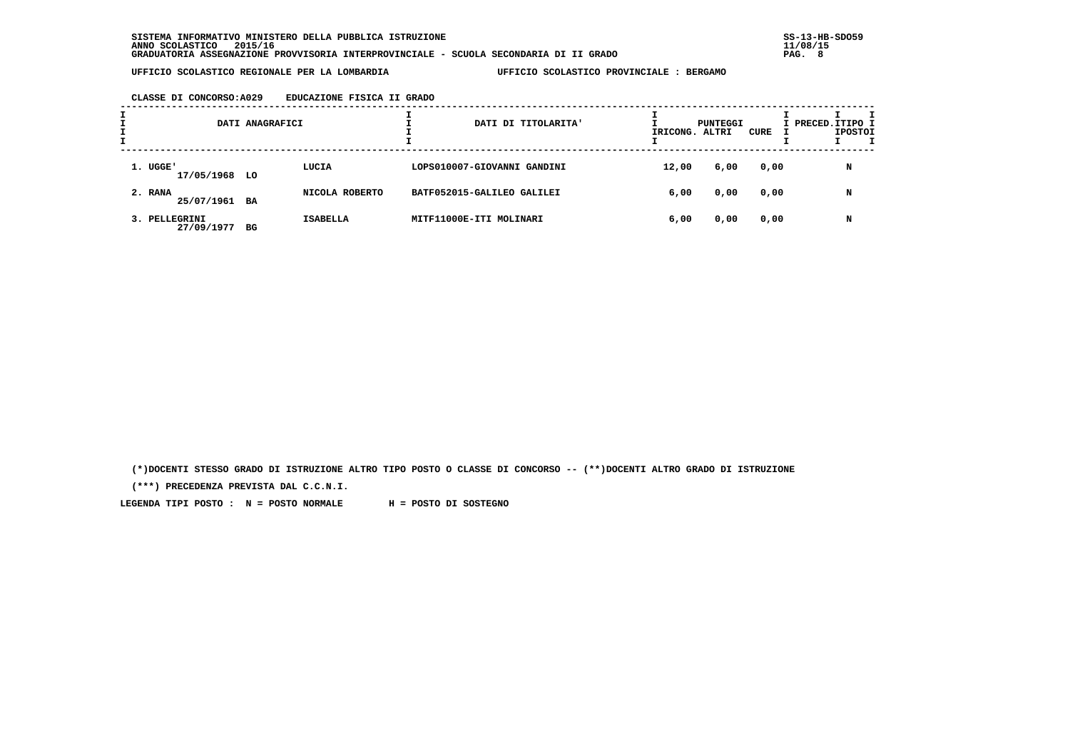### **CLASSE DI CONCORSO:A029 EDUCAZIONE FISICA II GRADO**

| л. |                             | DATI ANAGRAFICI |                 | DATI DI TITOLARITA'         | IRICONG. ALTRI | PUNTEGGI | CURE | I PRECED. ITIPO I | <b>IPOSTOI</b> |  |
|----|-----------------------------|-----------------|-----------------|-----------------------------|----------------|----------|------|-------------------|----------------|--|
|    | 1. UGGE'<br>17/05/1968 LO   |                 | LUCIA           | LOPS010007-GIOVANNI GANDINI | 12,00          | 6,00     | 0,00 |                   | N              |  |
|    | 2. RANA<br>25/07/1961 BA    |                 | NICOLA ROBERTO  | BATF052015-GALILEO GALILEI  | 6,00           | 0,00     | 0,00 |                   | N              |  |
|    | 3. PELLEGRINI<br>27/09/1977 | BG              | <b>ISABELLA</b> | MITF11000E-ITI MOLINARI     | 6,00           | 0,00     | 0,00 |                   | N              |  |

 **(\*)DOCENTI STESSO GRADO DI ISTRUZIONE ALTRO TIPO POSTO O CLASSE DI CONCORSO -- (\*\*)DOCENTI ALTRO GRADO DI ISTRUZIONE**

 **(\*\*\*) PRECEDENZA PREVISTA DAL C.C.N.I.**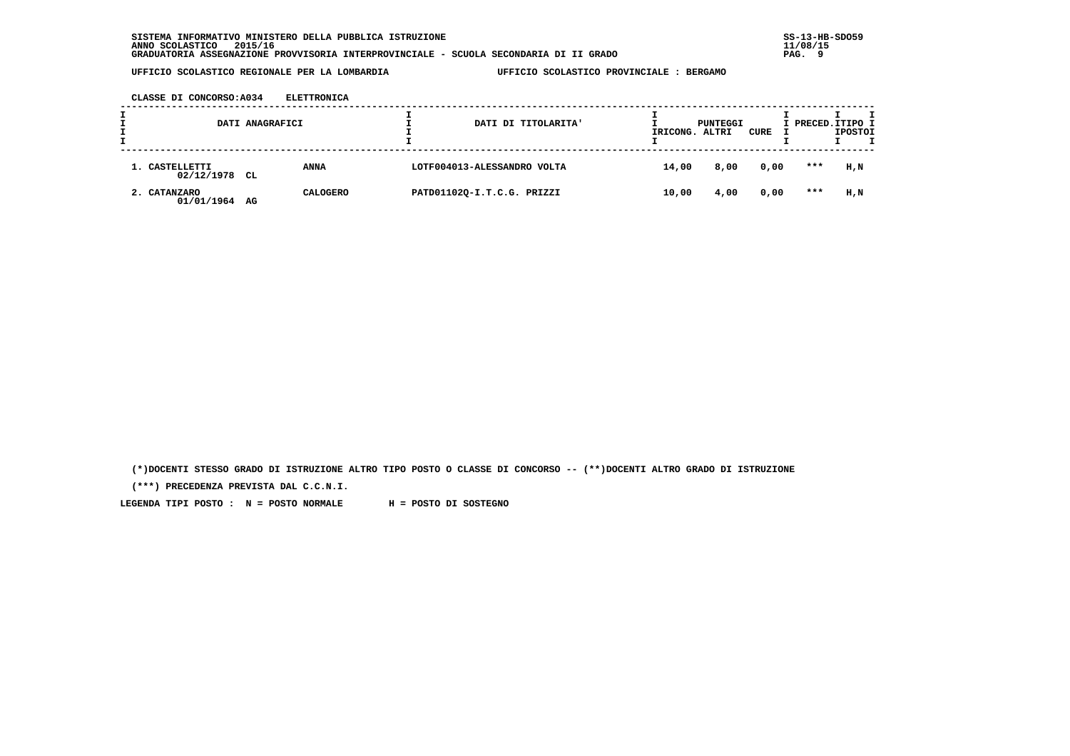**CLASSE DI CONCORSO:A034 ELETTRONICA**

| DATI ANAGRAFICI              |     |                 | DATI DI TITOLARITA'         | IRICONG. ALTRI | PUNTEGGI | CURE | I PRECED.ITIPO I | <b>IPOSTOI</b> |  |
|------------------------------|-----|-----------------|-----------------------------|----------------|----------|------|------------------|----------------|--|
| 1. CASTELLETTI<br>02/12/1978 | CL. | <b>ANNA</b>     | LOTF004013-ALESSANDRO VOLTA | 14,00          | 8,00     | 0,00 | ***              | H,N            |  |
| 2. CATANZARO<br>01/01/1964   | AG  | <b>CALOGERO</b> | PATD01102Q-I.T.C.G. PRIZZI  | 10,00          | 4,00     | 0,00 | ***              | H,N            |  |

 **(\*)DOCENTI STESSO GRADO DI ISTRUZIONE ALTRO TIPO POSTO O CLASSE DI CONCORSO -- (\*\*)DOCENTI ALTRO GRADO DI ISTRUZIONE**

 **(\*\*\*) PRECEDENZA PREVISTA DAL C.C.N.I.**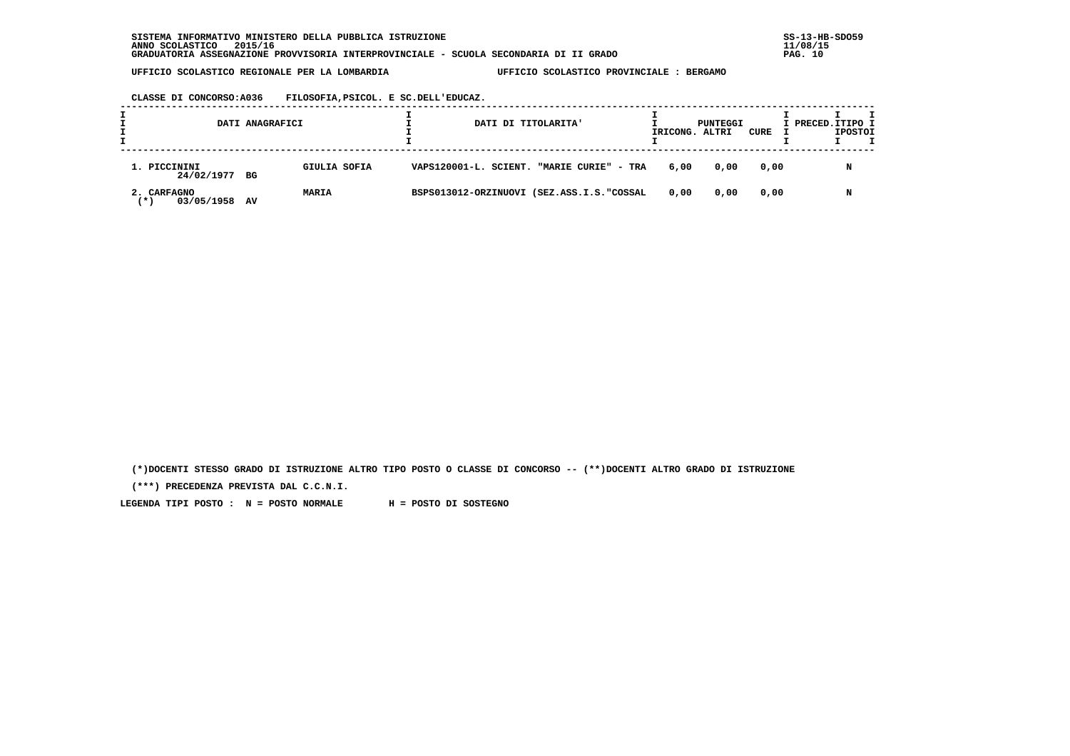**CLASSE DI CONCORSO:A036 FILOSOFIA,PSICOL. E SC.DELL'EDUCAZ.**

|                                   | DATI ANAGRAFICI    | DATI DI TITOLARITA'                       | IRICONG. ALTRI | PUNTEGGI | CURE | I PRECED. ITIPO I | <b>IPOSTOI</b> |  |
|-----------------------------------|--------------------|-------------------------------------------|----------------|----------|------|-------------------|----------------|--|
| 1. PICCININI<br>24/02/1977 BG     | GIULIA SOFIA       | VAPS120001-L. SCIENT. "MARIE CURIE" - TRA | 6,00           | 0,00     | 0,00 |                   | N              |  |
| 2. CARFAGNO<br>03/05/1958<br>(* ) | <b>MARIA</b><br>AV | BSPS013012-ORZINUOVI (SEZ.ASS.I.S."COSSAL | 0.00           | 0,00     | 0,00 |                   | N              |  |

 **(\*)DOCENTI STESSO GRADO DI ISTRUZIONE ALTRO TIPO POSTO O CLASSE DI CONCORSO -- (\*\*)DOCENTI ALTRO GRADO DI ISTRUZIONE**

 **(\*\*\*) PRECEDENZA PREVISTA DAL C.C.N.I.**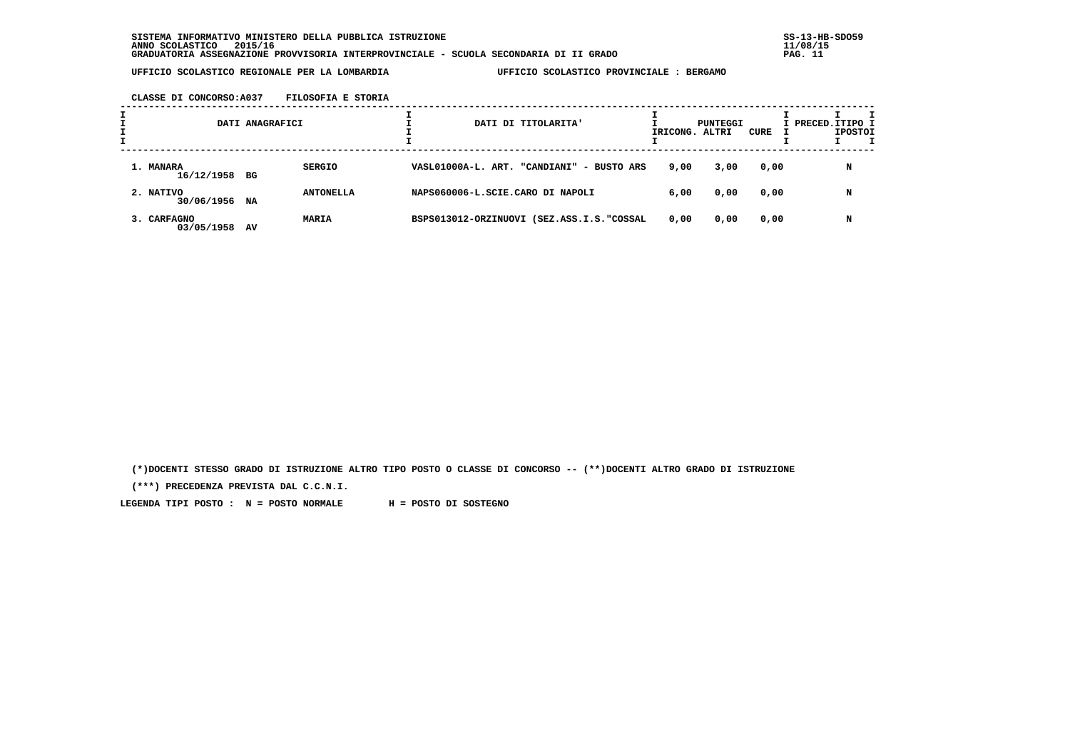**CLASSE DI CONCORSO:A037 FILOSOFIA E STORIA**

|                            | DATI ANAGRAFICI |                  |  | DATI DI TITOLARITA'                       | IRICONG. ALTRI | PUNTEGGI | CURE | I PRECED. ITIPO I | <b>IPOSTOI</b> |  |
|----------------------------|-----------------|------------------|--|-------------------------------------------|----------------|----------|------|-------------------|----------------|--|
| 1. MANARA<br>16/12/1958 BG |                 | <b>SERGIO</b>    |  | VASL01000A-L. ART. "CANDIANI" - BUSTO ARS | 9,00           | 3,00     | 0,00 |                   | N              |  |
| 2. NATIVO<br>30/06/1956    | NA              | <b>ANTONELLA</b> |  | NAPS060006-L.SCIE.CARO DI NAPOLI          | 6,00           | 0,00     | 0,00 |                   | N              |  |
| 3. CARFAGNO<br>03/05/1958  | AV              | <b>MARIA</b>     |  | BSPS013012-ORZINUOVI (SEZ.ASS.I.S."COSSAL | 0,00           | 0,00     | 0,00 |                   | N              |  |

 **(\*)DOCENTI STESSO GRADO DI ISTRUZIONE ALTRO TIPO POSTO O CLASSE DI CONCORSO -- (\*\*)DOCENTI ALTRO GRADO DI ISTRUZIONE**

 **(\*\*\*) PRECEDENZA PREVISTA DAL C.C.N.I.**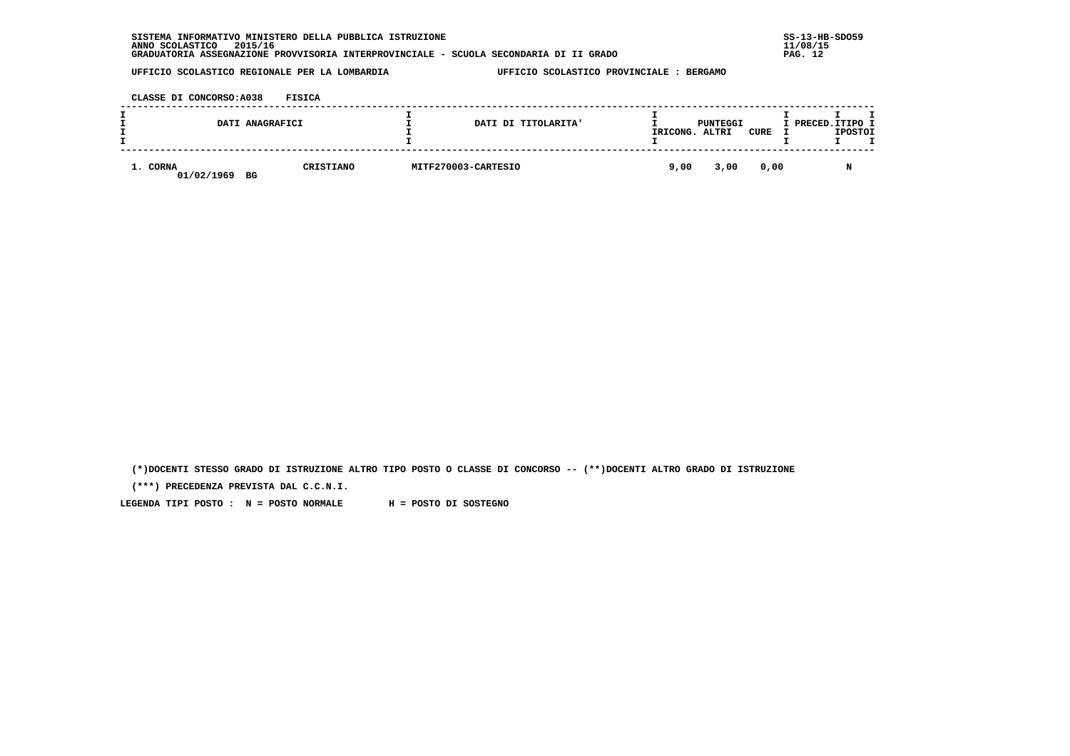|          | DATI ANAGRAFICI |           | DATI DI TITOLARITA' | IRICONG. ALTRI | PUNTEGGI | CURE | I PRECED.ITIPO I | IPOSTOI |
|----------|-----------------|-----------|---------------------|----------------|----------|------|------------------|---------|
| 1. CORNA | 01/02/1969 BG   | CRISTIANO | MITF270003-CARTESIO | 9,00           | 3,00     | 0,00 |                  | N       |

 **(\*)DOCENTI STESSO GRADO DI ISTRUZIONE ALTRO TIPO POSTO O CLASSE DI CONCORSO -- (\*\*)DOCENTI ALTRO GRADO DI ISTRUZIONE**

 **(\*\*\*) PRECEDENZA PREVISTA DAL C.C.N.I.**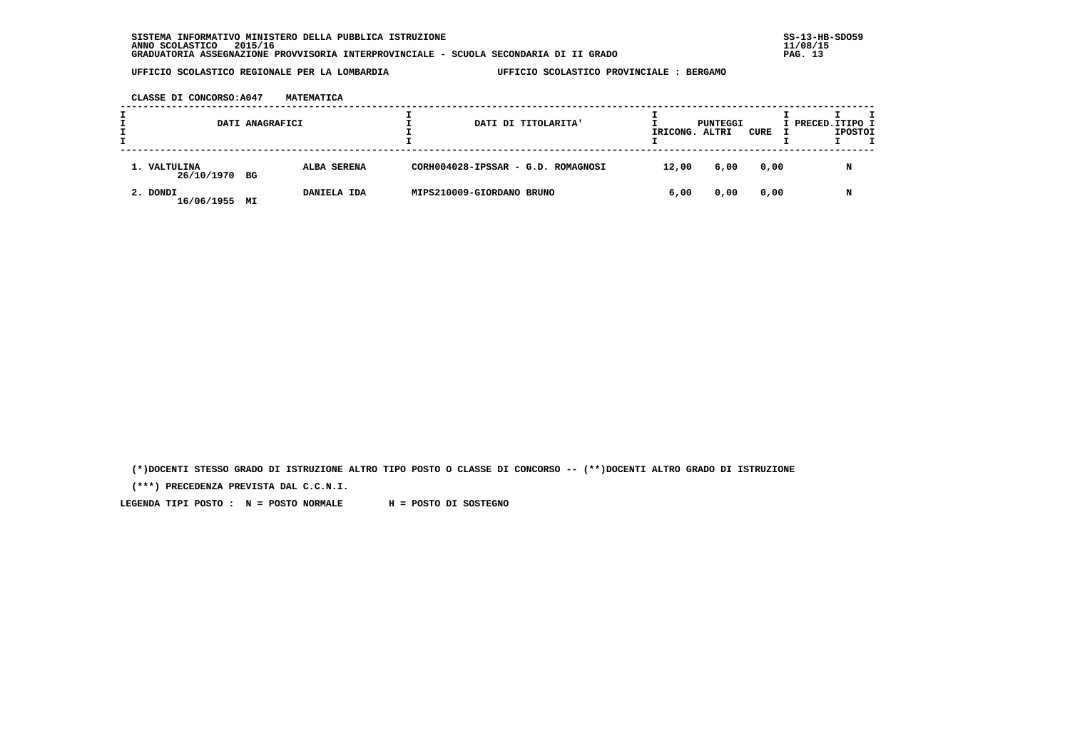**CLASSE DI CONCORSO:A047 MATEMATICA**

|                               | DATI ANAGRAFICI |             |                           | DATI DI TITOLARITA'                | IRICONG. ALTRI | PUNTEGGI | CURE | I PRECED.ITIPO I | <b>IPOSTOI</b> | т |
|-------------------------------|-----------------|-------------|---------------------------|------------------------------------|----------------|----------|------|------------------|----------------|---|
| 1. VALTULINA<br>26/10/1970 BG |                 | ALBA SERENA |                           | CORH004028-IPSSAR - G.D. ROMAGNOSI | 12,00          | 6,00     | 0,00 |                  | N              |   |
| 2. DONDI<br>16/06/1955        | МI              | DANIELA IDA | MIPS210009-GIORDANO BRUNO |                                    | 6,00           | 0,00     | 0,00 |                  | N              |   |

 **(\*)DOCENTI STESSO GRADO DI ISTRUZIONE ALTRO TIPO POSTO O CLASSE DI CONCORSO -- (\*\*)DOCENTI ALTRO GRADO DI ISTRUZIONE**

 **(\*\*\*) PRECEDENZA PREVISTA DAL C.C.N.I.**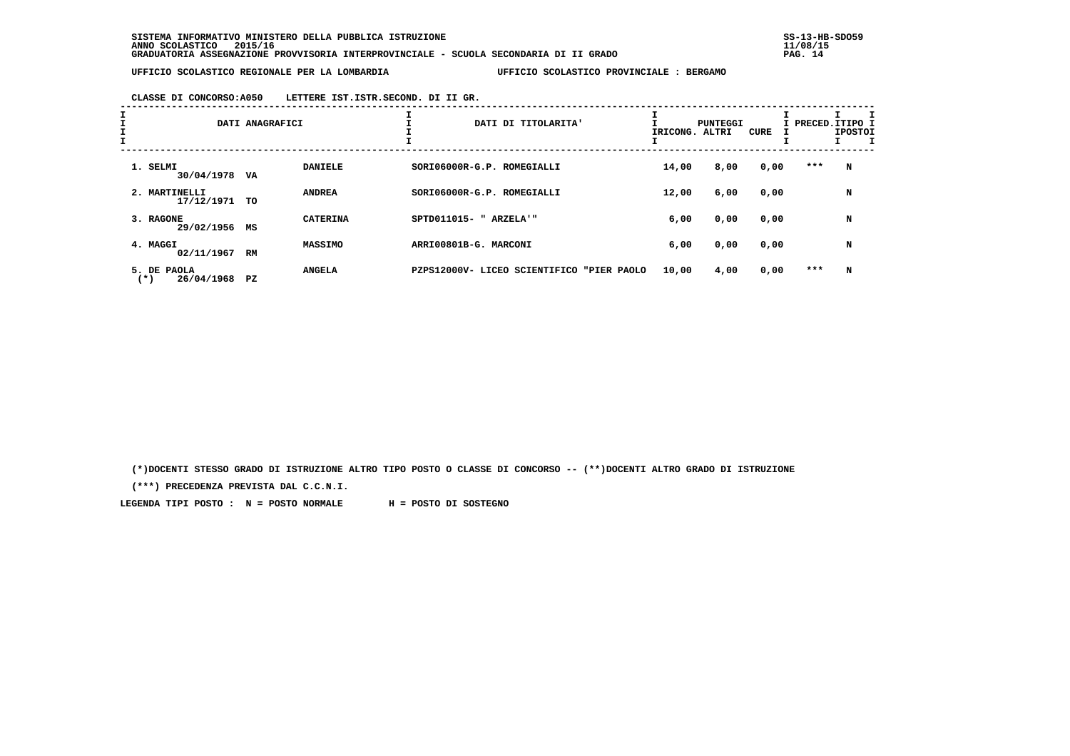# **CLASSE DI CONCORSO:A050 LETTERE IST.ISTR.SECOND. DI II GR.**

| I<br>$\mathbf{I}$ |                                       | DATI ANAGRAFICI |                 | DATI DI TITOLARITA'                          | IRICONG. | PUNTEGGI<br>ALTRI | CURE |       | I PRECED. ITIPO I<br><b>IPOSTOI</b> |
|-------------------|---------------------------------------|-----------------|-----------------|----------------------------------------------|----------|-------------------|------|-------|-------------------------------------|
|                   | 1. SELMI<br>30/04/1978                | VA              | <b>DANIELE</b>  | SORI06000R-G.P. ROMEGIALLI                   | 14,00    | 8,00              | 0,00 | ***   | N                                   |
|                   | 2. MARTINELLI<br>17/12/1971           | TO              | <b>ANDREA</b>   | SORI06000R-G.P. ROMEGIALLI                   | 12,00    | 6,00              | 0,00 |       | N                                   |
|                   | 3. RAGONE<br>29/02/1956               | MS              | <b>CATERINA</b> | SPTD011015- " ARZELA'"                       | 6,00     | 0,00              | 0,00 |       | N                                   |
|                   | 4. MAGGI<br>02/11/1967 RM             |                 | <b>MASSIMO</b>  | ARRI00801B-G. MARCONI                        | 6,00     | 0,00              | 0,00 |       | N                                   |
|                   | 5. DE PAOLA<br>26/04/1968<br>$^{(*)}$ | PZ              | <b>ANGELA</b>   | PZPS12000V- LICEO SCIENTIFICO<br>"PIER PAOLO | 10,00    | 4,00              | 0,00 | $***$ | N                                   |

 **(\*)DOCENTI STESSO GRADO DI ISTRUZIONE ALTRO TIPO POSTO O CLASSE DI CONCORSO -- (\*\*)DOCENTI ALTRO GRADO DI ISTRUZIONE**

 **(\*\*\*) PRECEDENZA PREVISTA DAL C.C.N.I.**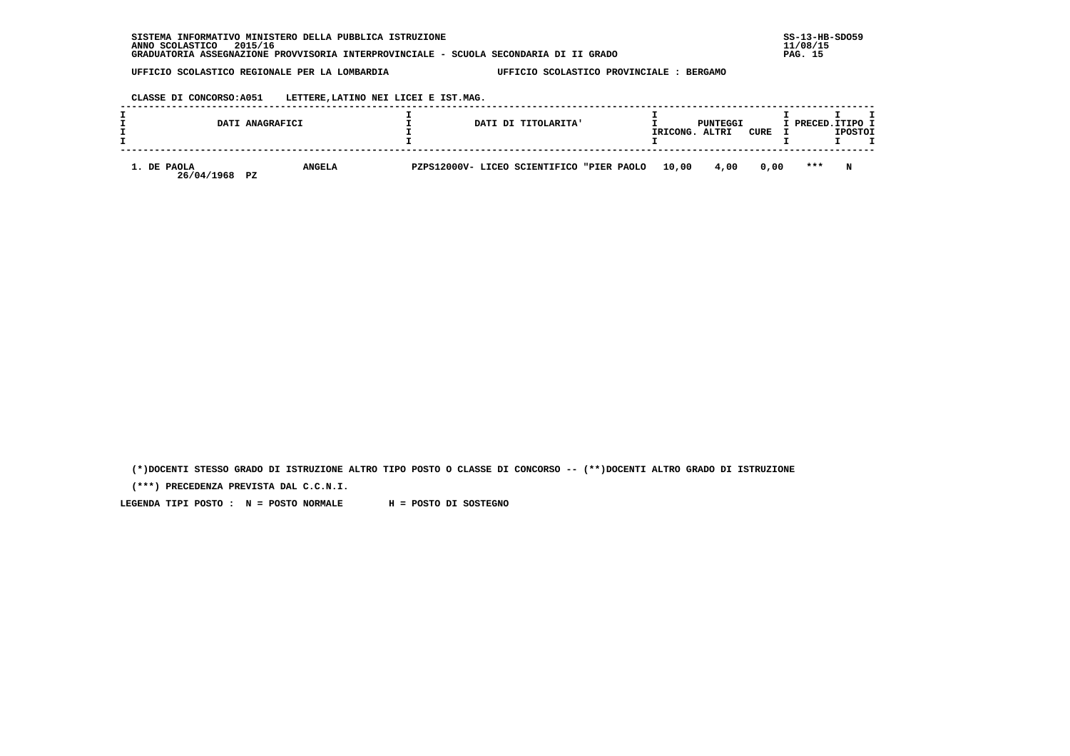| INFORMATIVO MINISTERO DELLA PUBBLICA ISTRUZIONE<br><b>SISTEMA</b>                     | $SS-13-HE$ |
|---------------------------------------------------------------------------------------|------------|
| 2015/16<br>ANNO SCOLASTICO                                                            | 11/08/15   |
| GRADUATORIA ASSEGNAZIONE PROVVISORIA INTERPROVINCIALE - SCUOLA SECONDARIA DI II GRADO | PAG. 15    |

 **CLASSE DI CONCORSO:A051 LETTERE,LATINO NEI LICEI E IST.MAG.**

|                                        | DATI ANAGRAFICI |  | DATI DI TITOLARITA'                       | IRICONG. | PUNTEGGI<br>ALTRI | CURE | I PRECED. ITIPO I | <b>IPOSTOI</b> |  |
|----------------------------------------|-----------------|--|-------------------------------------------|----------|-------------------|------|-------------------|----------------|--|
| 1. DE PAOLA<br>26/04/1968<br><b>PZ</b> | <b>ANGELA</b>   |  | PZPS12000V- LICEO SCIENTIFICO "PIER PAOLO | 10,00    | 4,00              | 0.00 | $***$             | N              |  |

 **(\*)DOCENTI STESSO GRADO DI ISTRUZIONE ALTRO TIPO POSTO O CLASSE DI CONCORSO -- (\*\*)DOCENTI ALTRO GRADO DI ISTRUZIONE**

 **(\*\*\*) PRECEDENZA PREVISTA DAL C.C.N.I.**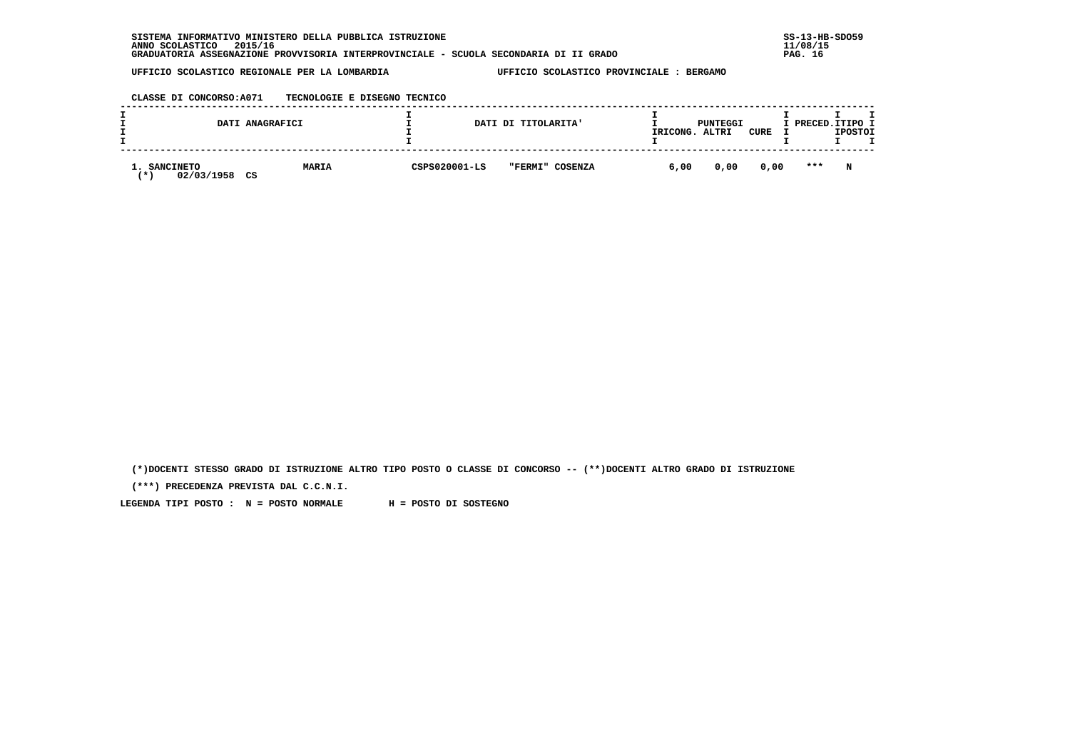| SISTEMA INFORMATIVO MINISTERO DELLA PUBBLICA ISTRUZIONE                               | $SS-13-HE$ |
|---------------------------------------------------------------------------------------|------------|
| 2015/16<br>ANNO SCOLASTICO                                                            | 11/08/15   |
| GRADUATORIA ASSEGNAZIONE PROVVISORIA INTERPROVINCIALE - SCUOLA SECONDARIA DI II GRADO | PAG. 16    |

## **CLASSE DI CONCORSO:A071 TECNOLOGIE E DISEGNO TECNICO**

|                                | DATI ANAGRAFICI    |               | DATI DI TITOLARITA' | IRICONG. | PUNTEGGI<br>ALTRI | CURE | I PRECED.ITIPO I | <b>IPOSTOI</b> |  |
|--------------------------------|--------------------|---------------|---------------------|----------|-------------------|------|------------------|----------------|--|
| <b>SANCINETO</b><br>02/03/1958 | <b>MARIA</b><br>CS | CSPS020001-LS | "FERMI" COSENZA     | 6,00     | 0,00              | 0,00 | $***$            | N              |  |

 **(\*)DOCENTI STESSO GRADO DI ISTRUZIONE ALTRO TIPO POSTO O CLASSE DI CONCORSO -- (\*\*)DOCENTI ALTRO GRADO DI ISTRUZIONE**

 **(\*\*\*) PRECEDENZA PREVISTA DAL C.C.N.I.**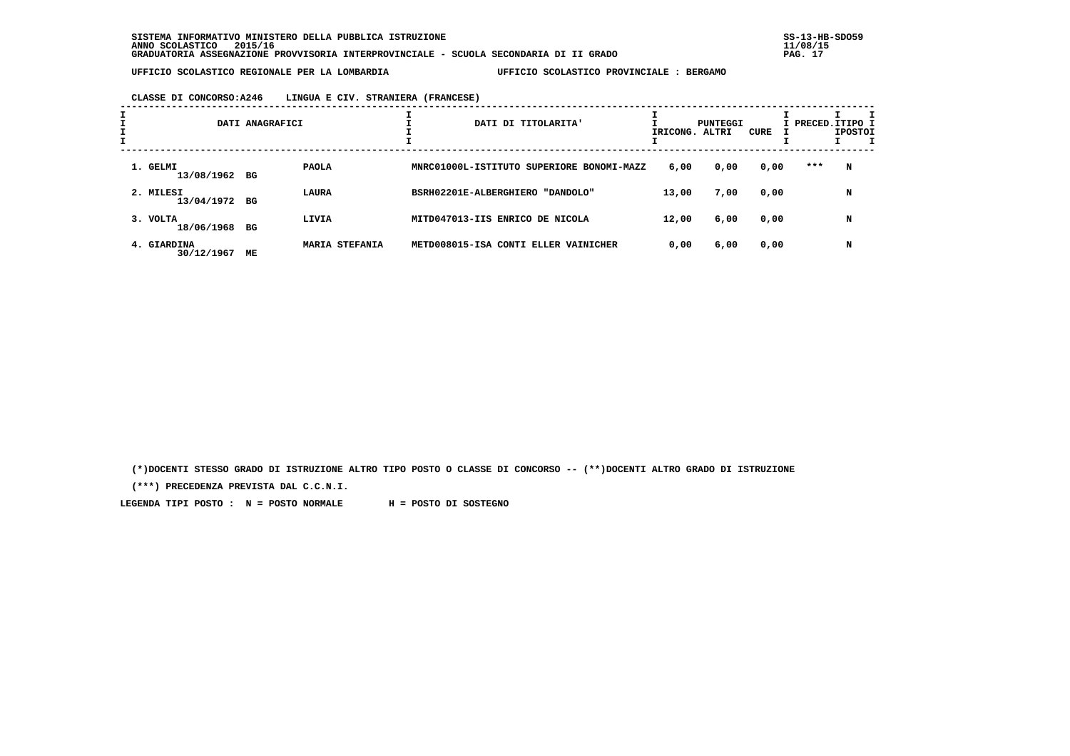### **CLASSE DI CONCORSO:A246 LINGUA E CIV. STRANIERA (FRANCESE)**

|                            | DATI ANAGRAFICI |                       | DATI DI TITOLARITA'                       | IRICONG. ALTRI | PUNTEGGI | CURE |     | I PRECED.ITIPO I<br><b>IPOSTOI</b> |  |
|----------------------------|-----------------|-----------------------|-------------------------------------------|----------------|----------|------|-----|------------------------------------|--|
| 1. GELMI<br>13/08/1962 BG  |                 | <b>PAOLA</b>          | MNRC01000L-ISTITUTO SUPERIORE BONOMI-MAZZ | 6,00           | 0,00     | 0,00 | *** | N                                  |  |
| 2. MILESI<br>13/04/1972 BG |                 | LAURA                 | BSRH02201E-ALBERGHIERO "DANDOLO"          | 13,00          | 7,00     | 0,00 |     | N                                  |  |
| 3. VOLTA<br>18/06/1968 BG  |                 | LIVIA                 | MITD047013-IIS ENRICO DE NICOLA           | 12,00          | 6,00     | 0,00 |     | N                                  |  |
| 4. GIARDINA<br>30/12/1967  | МE              | <b>MARIA STEFANIA</b> | METD008015-ISA CONTI ELLER VAINICHER      | 0,00           | 6,00     | 0,00 |     | N                                  |  |

 **(\*)DOCENTI STESSO GRADO DI ISTRUZIONE ALTRO TIPO POSTO O CLASSE DI CONCORSO -- (\*\*)DOCENTI ALTRO GRADO DI ISTRUZIONE**

 **(\*\*\*) PRECEDENZA PREVISTA DAL C.C.N.I.**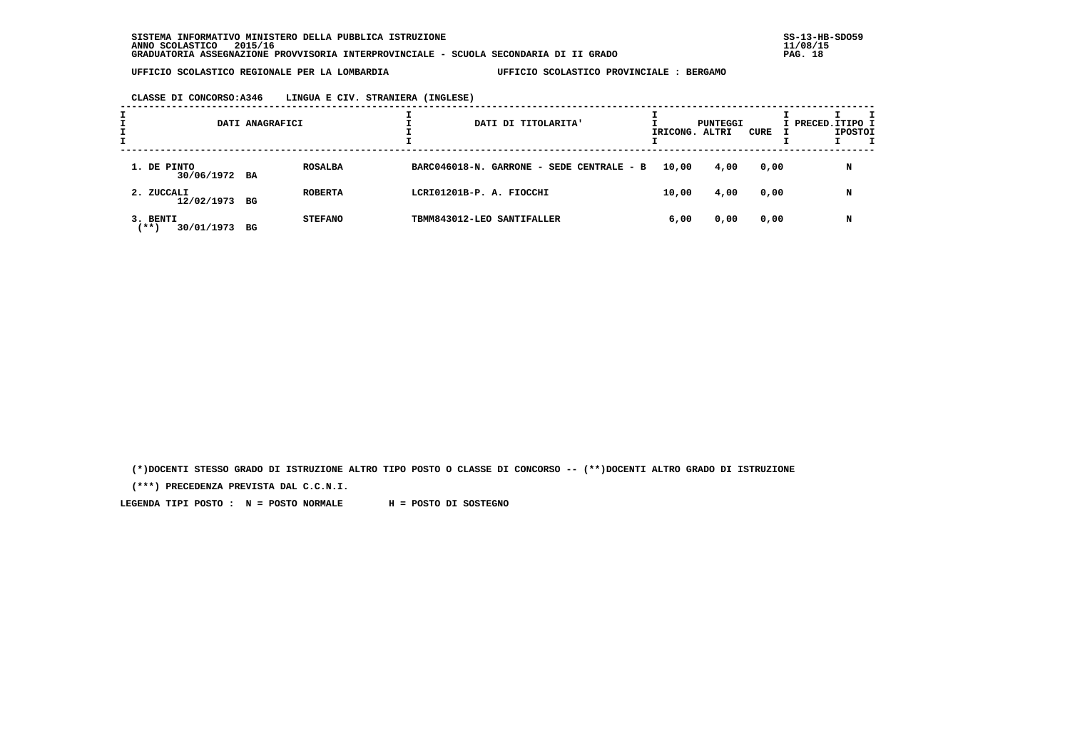| ᅩ |                                   | DATI ANAGRAFICI |                |                            | DATI DI TITOLARITA'                       | IRICONG. ALTRI | PUNTEGGI | CURE | I PRECED.ITIPO I | <b>IPOSTOI</b> |  |
|---|-----------------------------------|-----------------|----------------|----------------------------|-------------------------------------------|----------------|----------|------|------------------|----------------|--|
|   | 1. DE PINTO<br>30/06/1972 BA      |                 | <b>ROSALBA</b> |                            | BARC046018-N. GARRONE - SEDE CENTRALE - B | 10,00          | 4,00     | 0,00 |                  | N              |  |
|   | 2. ZUCCALI<br>12/02/1973 BG       |                 | <b>ROBERTA</b> | LCRI01201B-P. A. FIOCCHI   |                                           | 10,00          | 4,00     | 0,00 |                  | N              |  |
|   | 3. BENTI<br>$***$ )<br>30/01/1973 | BG              | <b>STEFANO</b> | TBMM843012-LEO SANTIFALLER |                                           | 6,00           | 0,00     | 0,00 |                  | N              |  |

 **(\*)DOCENTI STESSO GRADO DI ISTRUZIONE ALTRO TIPO POSTO O CLASSE DI CONCORSO -- (\*\*)DOCENTI ALTRO GRADO DI ISTRUZIONE**

 **(\*\*\*) PRECEDENZA PREVISTA DAL C.C.N.I.**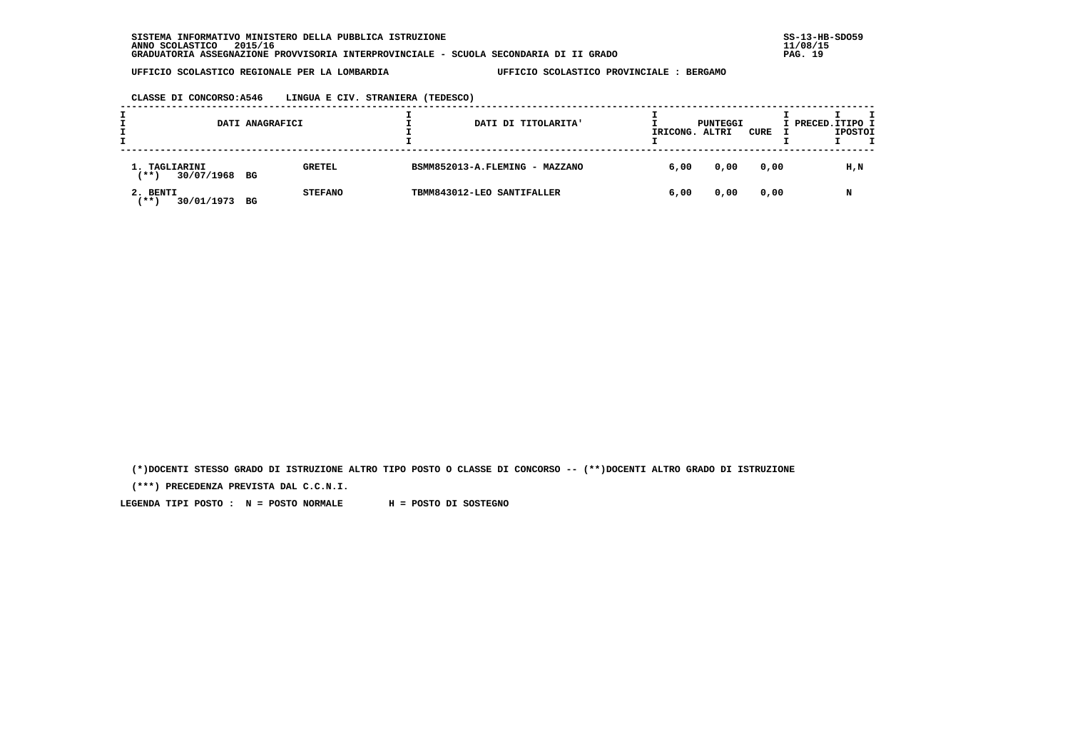**CLASSE DI CONCORSO:A546 LINGUA E CIV. STRANIERA (TEDESCO)**

|                                           | DATI ANAGRAFICI |                | DATI DI TITOLARITA'            | IRICONG. | PUNTEGGI<br>ALTRI | CURE | I PRECED.ITIPO I<br><b>IPOSTOI</b> |
|-------------------------------------------|-----------------|----------------|--------------------------------|----------|-------------------|------|------------------------------------|
| 1. TAGLIARINI<br>$***$ )<br>30/07/1968 BG |                 | <b>GRETEL</b>  | BSMM852013-A.FLEMING - MAZZANO | 6,00     | 0,00              | 0,00 | H,N                                |
| 2. BENTI<br>30/01/1973<br><b>***</b>      | BG              | <b>STEFANO</b> | TBMM843012-LEO SANTIFALLER     | 6,00     | 0,00              | 0,00 | N                                  |

 **(\*)DOCENTI STESSO GRADO DI ISTRUZIONE ALTRO TIPO POSTO O CLASSE DI CONCORSO -- (\*\*)DOCENTI ALTRO GRADO DI ISTRUZIONE**

 **(\*\*\*) PRECEDENZA PREVISTA DAL C.C.N.I.**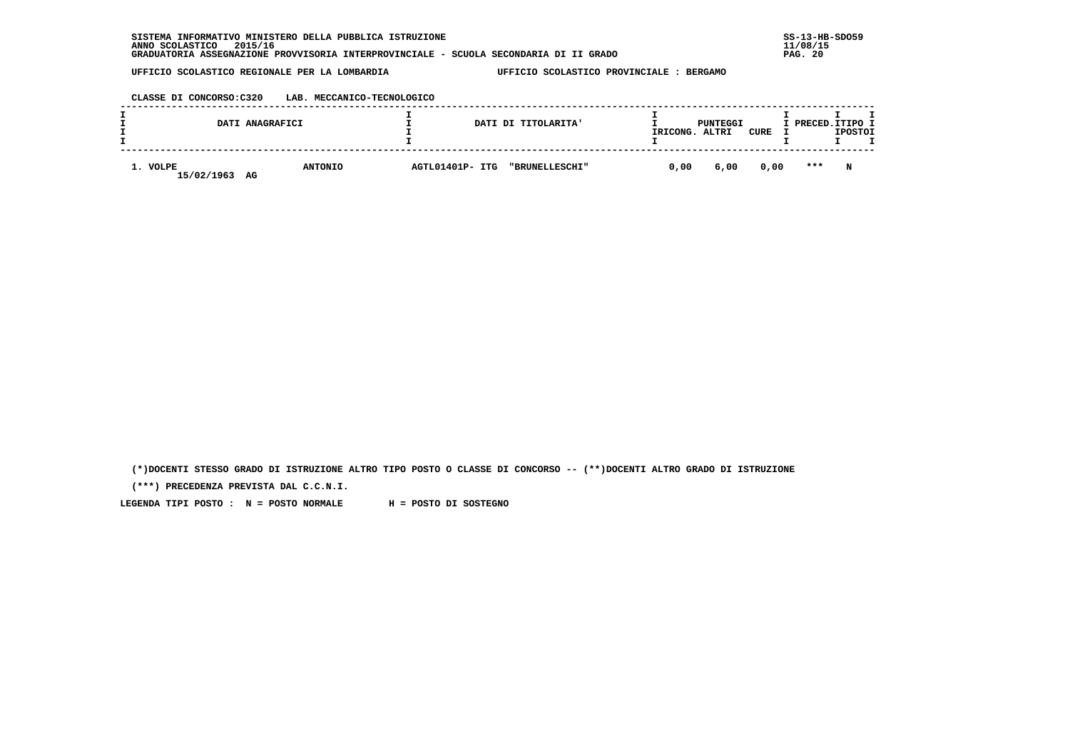| SISTEMA INFORMATIVO MINISTERO DELLA PUBBLICA ISTRUZIONE                               | $SS-13-HE$ |
|---------------------------------------------------------------------------------------|------------|
| 2015/16<br>ANNO SCOLASTICO                                                            | 11/08/15   |
| GRADUATORIA ASSEGNAZIONE PROVVISORIA INTERPROVINCIALE - SCUOLA SECONDARIA DI II GRADO | PAG. 20    |

 **CLASSE DI CONCORSO:C320 LAB. MECCANICO-TECNOLOGICO**

|                        | DATI ANAGRAFICI      |                 | DATI DI TITOLARITA' | IRICONG. | PUNTEGGI<br>ALTRI | CURE | I PRECED.ITIPO I | <b>IPOSTOI</b> |  |
|------------------------|----------------------|-----------------|---------------------|----------|-------------------|------|------------------|----------------|--|
| 1. VOLPE<br>15/02/1963 | <b>ANTONIO</b><br>AG | AGTL01401P- ITG | "BRUNELLESCHI"      | 0,00     | 6,00              | 0,00 | $* * *$          | N              |  |

 **(\*)DOCENTI STESSO GRADO DI ISTRUZIONE ALTRO TIPO POSTO O CLASSE DI CONCORSO -- (\*\*)DOCENTI ALTRO GRADO DI ISTRUZIONE**

 **(\*\*\*) PRECEDENZA PREVISTA DAL C.C.N.I.**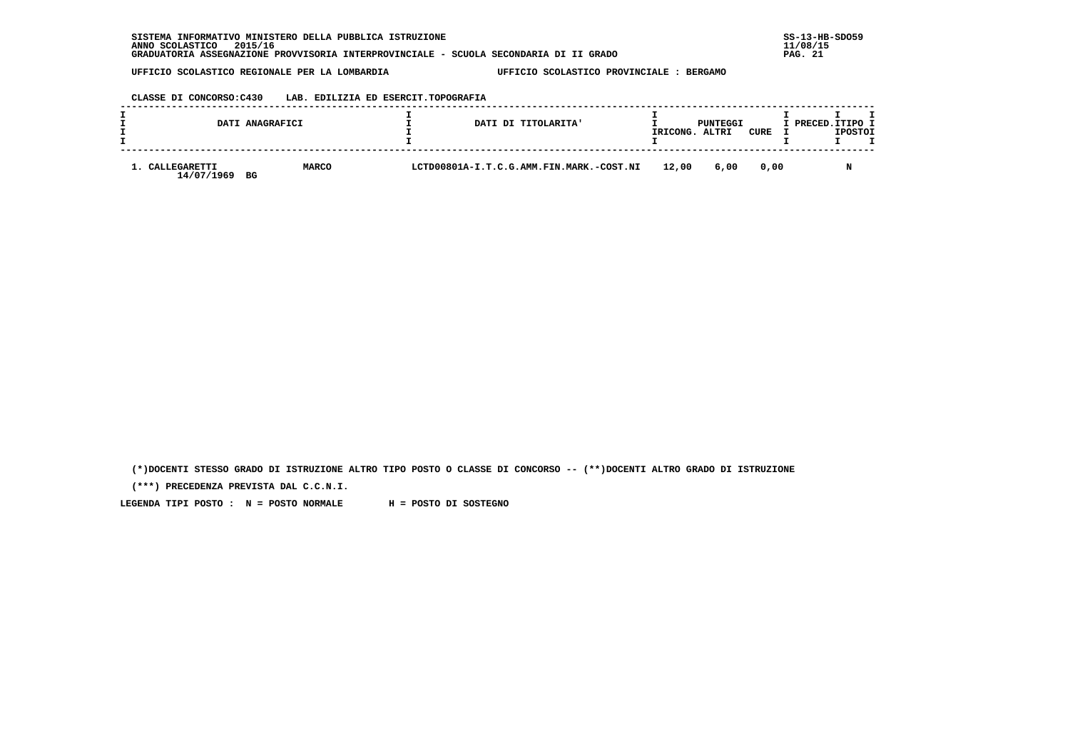# **CLASSE DI CONCORSO:C430 LAB. EDILIZIA ED ESERCIT.TOPOGRAFIA**

|                            | DATI ANAGRAFICI    | DATI DI TITOLARITA'                      | IRICONG. | PUNTEGGI<br>ALTRI | CURE | I PRECED. ITIPO I<br><b>IPOSTOI</b> |
|----------------------------|--------------------|------------------------------------------|----------|-------------------|------|-------------------------------------|
| CALLEGARETTI<br>14/07/1969 | <b>MARCO</b><br>BG | LCTD00801A-I.T.C.G.AMM.FIN.MARK.-COST.NI | 12,00    | 6,00              | 0.00 | N                                   |

 **(\*)DOCENTI STESSO GRADO DI ISTRUZIONE ALTRO TIPO POSTO O CLASSE DI CONCORSO -- (\*\*)DOCENTI ALTRO GRADO DI ISTRUZIONE**

 **(\*\*\*) PRECEDENZA PREVISTA DAL C.C.N.I.**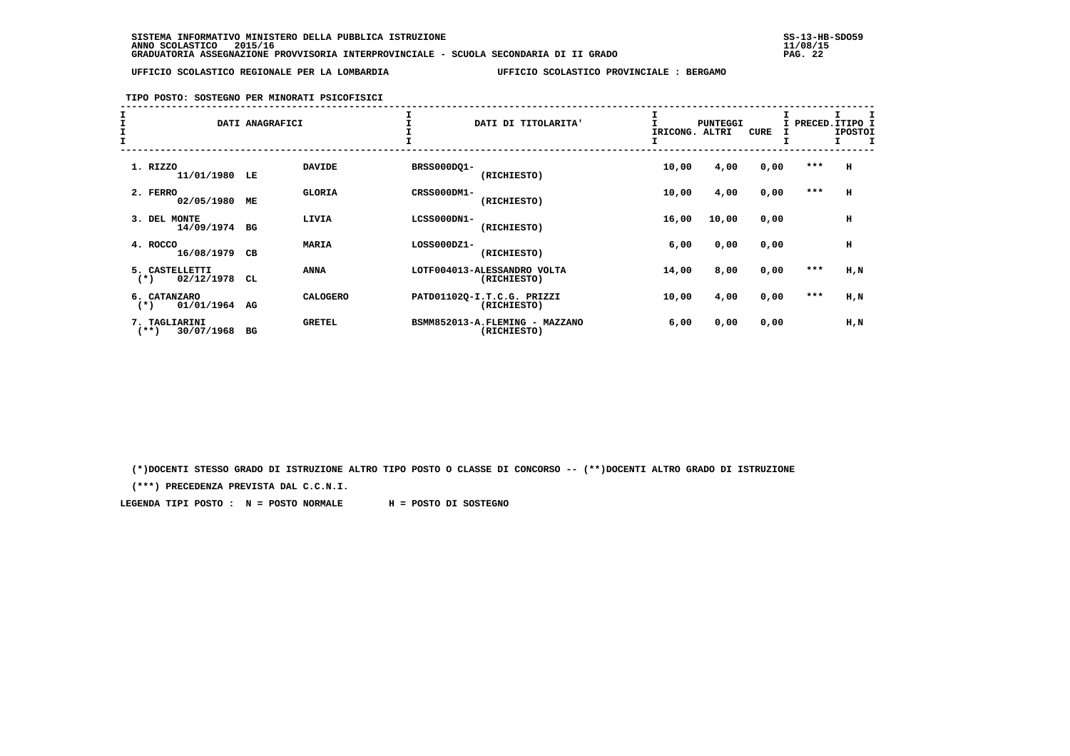## **TIPO POSTO: SOSTEGNO PER MINORATI PSICOFISICI**

| $\begin{array}{c}\nI \\ I \\ I\n\end{array}$ |                                        | DATI ANAGRAFICI |                 |             | DATI DI TITOLARITA'                           | IRICONG. | <b>PUNTEGGI</b><br>ALTRI | <b>CURE</b> | I     | PRECED.ITIPO I<br><b>IPOSTOI</b> |
|----------------------------------------------|----------------------------------------|-----------------|-----------------|-------------|-----------------------------------------------|----------|--------------------------|-------------|-------|----------------------------------|
|                                              | 1. RIZZO<br>11/01/1980                 | LE              | <b>DAVIDE</b>   | BRSS000DQ1- | (RICHIESTO)                                   | 10,00    | 4,00                     | 0,00        | ***   | н                                |
|                                              | 2. FERRO<br>02/05/1980                 | ME              | <b>GLORIA</b>   | CRSS000DM1- | (RICHIESTO)                                   | 10,00    | 4,00                     | 0,00        | $***$ | н                                |
|                                              | 3. DEL<br>MONTE<br>14/09/1974          | BG              | LIVIA           | LCSS000DN1- | (RICHIESTO)                                   | 16,00    | 10,00                    | 0,00        |       | н                                |
|                                              | 4. ROCCO<br>16/08/1979                 | CВ              | <b>MARIA</b>    | LOSS000DZ1- | (RICHIESTO)                                   | 6,00     | 0,00                     | 0,00        |       | н                                |
|                                              | 5. CASTELLETTI<br>02/12/1978<br>$(*)$  | CL              | <b>ANNA</b>     |             | LOTF004013-ALESSANDRO VOLTA<br>(RICHIESTO)    | 14,00    | 8,00                     | 0,00        | $***$ | H,N                              |
|                                              | 6. CATANZARO<br>01/01/1964<br>$(*)$    | AG              | <b>CALOGERO</b> |             | PATD01102Q-I.T.C.G. PRIZZI<br>(RICHIESTO)     | 10,00    | 4,00                     | 0,00        | $***$ | H,N                              |
|                                              | 7. TAGLIARINI<br>30/07/1968<br>$(***)$ | BG              | <b>GRETEL</b>   |             | BSMM852013-A.FLEMING - MAZZANO<br>(RICHIESTO) | 6,00     | 0,00                     | 0,00        |       | H,N                              |

 **(\*)DOCENTI STESSO GRADO DI ISTRUZIONE ALTRO TIPO POSTO O CLASSE DI CONCORSO -- (\*\*)DOCENTI ALTRO GRADO DI ISTRUZIONE**

 **(\*\*\*) PRECEDENZA PREVISTA DAL C.C.N.I.**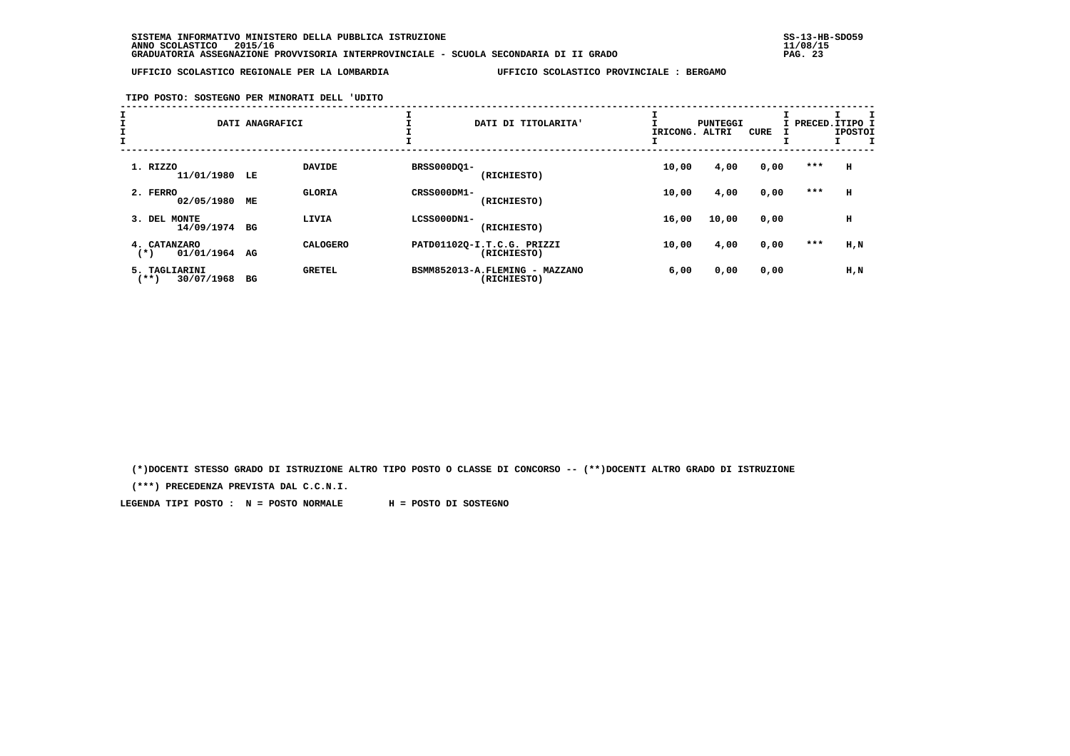# **TIPO POSTO: SOSTEGNO PER MINORATI DELL 'UDITO**

| I<br>I<br>$\mathbf{I}$ |                                        | DATI ANAGRAFICI     |             | DATI DI TITOLARITA'                           | IRICONG. | PUNTEGGI<br>ALTRI | <b>CURE</b> | I PRECED.ITIPO 1 | <b>IPOSTOI</b> |
|------------------------|----------------------------------------|---------------------|-------------|-----------------------------------------------|----------|-------------------|-------------|------------------|----------------|
|                        | 1. RIZZO<br>11/01/1980                 | <b>DAVIDE</b><br>LE | BRSS000DQ1- | (RICHIESTO)                                   | 10,00    | 4,00              | 0,00        | ***              | н              |
|                        | 2. FERRO<br>02/05/1980                 | <b>GLORIA</b><br>МE | CRSS000DM1- | (RICHIESTO)                                   | 10,00    | 4,00              | 0,00        | $***$            | н              |
|                        | 3. DEL<br>MONTE<br>14/09/1974          | LIVIA<br>BG         | LCSS000DN1- | (RICHIESTO)                                   | 16,00    | 10,00             | 0,00        |                  | н              |
|                        | 4. CATANZARO<br>01/01/1964<br>$^{(*)}$ | AG                  | CALOGERO    | PATD01102Q-I.T.C.G. PRIZZI<br>(RICHIESTO)     | 10,00    | 4,00              | 0,00        | $***$            | $H$ , $N$      |
|                        | 5. TAGLIARINI<br>$***$ )<br>30/07/1968 | <b>GRETEL</b><br>BG |             | BSMM852013-A.FLEMING - MAZZANO<br>(RICHIESTO) | 6,00     | 0,00              | 0,00        |                  | H,N            |

 **(\*)DOCENTI STESSO GRADO DI ISTRUZIONE ALTRO TIPO POSTO O CLASSE DI CONCORSO -- (\*\*)DOCENTI ALTRO GRADO DI ISTRUZIONE**

 **(\*\*\*) PRECEDENZA PREVISTA DAL C.C.N.I.**